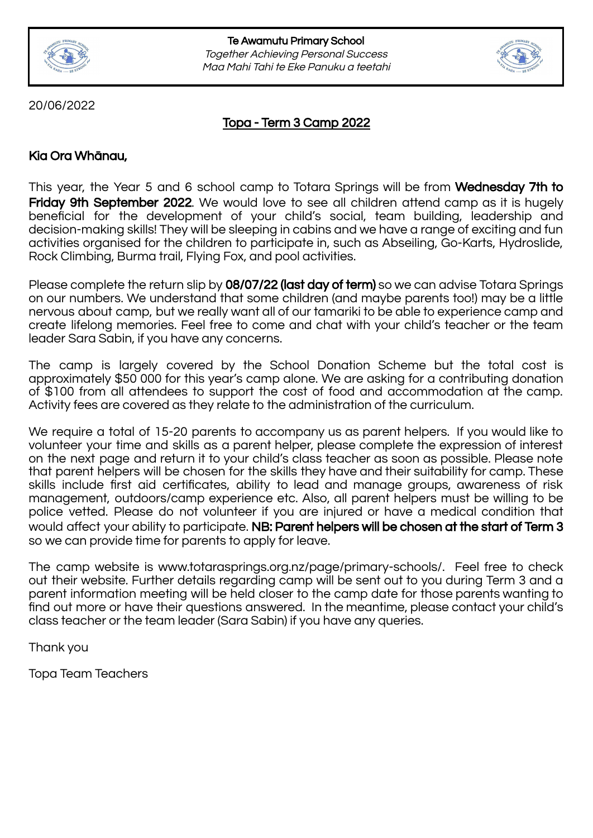



20/06/2022

Topa - Term 3 Camp 2022

# Kia Ora Whānau,

This year, the Year 5 and 6 school camp to Totara Springs will be from **Wednesday 7th to** Friday 9th September 2022. We would love to see all children attend camp as it is hugely beneficial for the development of your child's social, team building, leadership and decision-making skills! They will be sleeping in cabins and we have a range of exciting and fun activities organised for the children to participate in, such as Abseiling, Go-Karts, Hydroslide, Rock Climbing, Burma trail, Flying Fox, and pool activities.

Please complete the return slip by 08/07/22 (last day of term) so we can advise Totara Springs on our numbers. We understand that some children (and maybe parents too!) may be a little nervous about camp, but we really want all of our tamariki to be able to experience camp and create lifelong memories. Feel free to come and chat with your child's teacher or the team leader Sara Sabin, if you have any concerns.

The camp is largely covered by the School Donation Scheme but the total cost is approximately \$50 000 for this year's camp alone. We are asking for a contributing donation of \$100 from all attendees to support the cost of food and accommodation at the camp. Activity fees are covered as they relate to the administration of the curriculum.

We require a total of 15-20 parents to accompany us as parent helpers. If you would like to volunteer your time and skills as a parent helper, please complete the expression of interest on the next page and return it to your child's class teacher as soon as possible. Please note that parent helpers will be chosen for the skills they have and their suitability for camp. These skills include first aid certificates, ability to lead and manage groups, awareness of risk management, outdoors/camp experience etc. Also, all parent helpers must be willing to be police vetted. Please do not volunteer if you are injured or have a medical condition that would affect your ability to participate. NB: Parent helpers will be chosen at the start of Term 3 so we can provide time for parents to apply for leave.

The camp website is www.totarasprings.org.nz/page/primary-schools/. Feel free to check out their website. Further details regarding camp will be sent out to you during Term 3 and a parent information meeting will be held closer to the camp date for those parents wanting to find out more or have their questions answered. In the meantime, please contact your child's class teacher or the team leader (Sara Sabin) if you have any queries.

Thank you

Topa Team Teachers